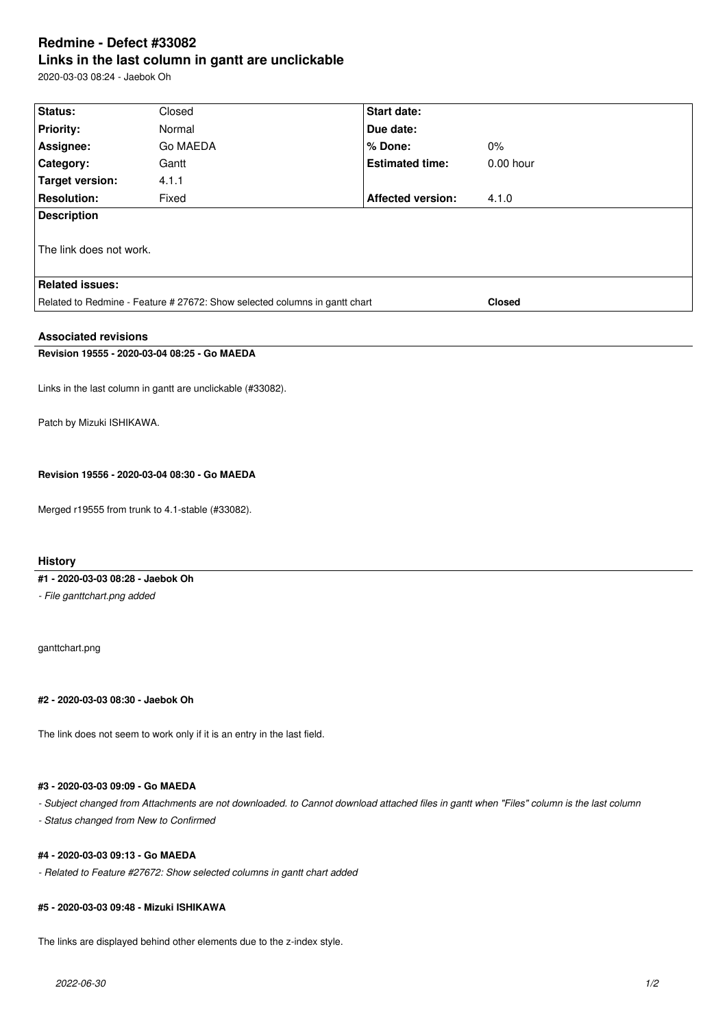# **Redmine - Defect #33082 Links in the last column in gantt are unclickable**

2020-03-03 08:24 - Jaebok Oh

| Status:                                                                    | Closed   | Start date:              |               |
|----------------------------------------------------------------------------|----------|--------------------------|---------------|
|                                                                            |          |                          |               |
| <b>Priority:</b>                                                           | Normal   | Due date:                |               |
| Assignee:                                                                  | Go MAEDA | % Done:                  | $0\%$         |
| Category:                                                                  | Gantt    | <b>Estimated time:</b>   | $0.00$ hour   |
| <b>Target version:</b>                                                     | 4.1.1    |                          |               |
| <b>Resolution:</b>                                                         | Fixed    | <b>Affected version:</b> | 4.1.0         |
| <b>Description</b>                                                         |          |                          |               |
|                                                                            |          |                          |               |
| The link does not work.                                                    |          |                          |               |
|                                                                            |          |                          |               |
| <b>Related issues:</b>                                                     |          |                          |               |
| Related to Redmine - Feature # 27672: Show selected columns in gantt chart |          |                          | <b>Closed</b> |
|                                                                            |          |                          |               |
| <b>Associated revisions</b>                                                |          |                          |               |
| Revision 19555 - 2020-03-04 08:25 - Go MAEDA                               |          |                          |               |
|                                                                            |          |                          |               |
| Links in the last column in gantt are unclickable (#33082).                |          |                          |               |

Patch by Mizuki ISHIKAWA.

**Revision 19556 - 2020-03-04 08:30 - Go MAEDA**

Merged r19555 from trunk to 4.1-stable (#33082).

**History**

## **#1 - 2020-03-03 08:28 - Jaebok Oh**

*- File ganttchart.png added*

ganttchart.png

**#2 - 2020-03-03 08:30 - Jaebok Oh**

The link does not seem to work only if it is an entry in the last field.

## **#3 - 2020-03-03 09:09 - Go MAEDA**

*- Subject changed from Attachments are not downloaded. to Cannot download attached files in gantt when "Files" column is the last column*

*- Status changed from New to Confirmed*

### **#4 - 2020-03-03 09:13 - Go MAEDA**

*- Related to Feature #27672: Show selected columns in gantt chart added*

#### **#5 - 2020-03-03 09:48 - Mizuki ISHIKAWA**

The links are displayed behind other elements due to the z-index style.